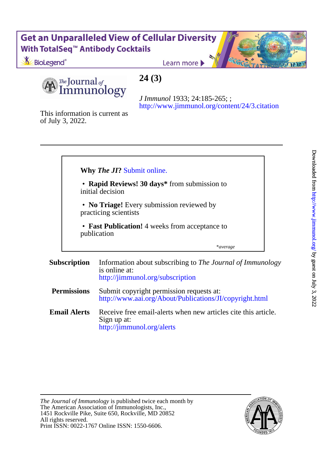### **Get an Unparalleled View of Cellular Diversity** With TotalSeq<sup>™</sup> Antibody Cocktails

BioLegend<sup>®</sup>

Learn more

*The* Journal of mmunology

### **24 (3)**

<http://www.jimmunol.org/content/24/3.citation> *J Immunol* 1933; 24:185-265; ;

of July 3, 2022. This information is current as



**Email Alerts** <http://jimmunol.org/alerts> Sign up at: Receive free email-alerts when new articles cite this article.